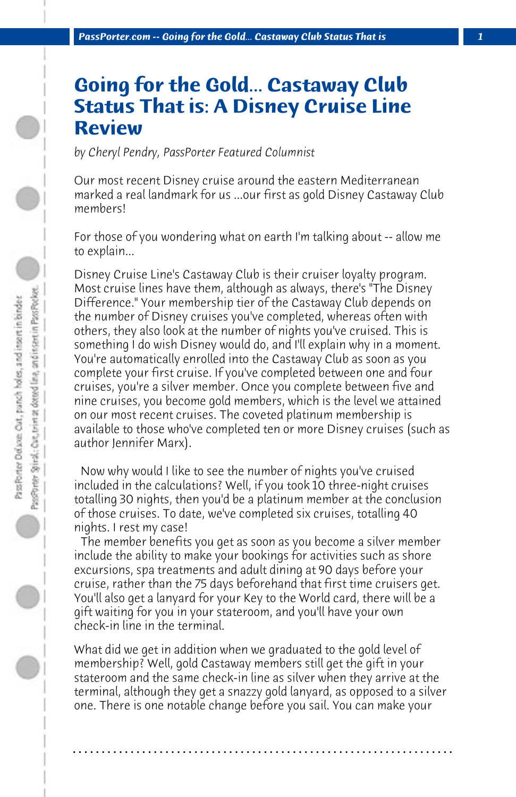## **Going for the Gold... Castaway Club Status That is: A Disney Cruise Line Review**

*by Cheryl Pendry, PassPorter Featured Columnist*

Our most recent Disney cruise around the eastern Mediterranean marked a real landmark for us ...our first as gold Disney Castaway Club members!

For those of you wondering what on earth I'm talking about -- allow me to explain...

Disney Cruise Line's Castaway Club is their cruiser loyalty program. Most cruise lines have them, although as always, there's "The Disney Difference." Your membership tier of the Castaway Club depends on the number of Disney cruises you've completed, whereas often with others, they also look at the number of nights you've cruised. This is something I do wish Disney would do, and I'll explain why in a moment. You're automatically enrolled into the Castaway Club as soon as you complete your first cruise. If you've completed between one and four cruises, you're a silver member. Once you complete between five and nine cruises, you become gold members, which is the level we attained on our most recent cruises. The coveted platinum membership is available to those who've completed ten or more Disney cruises (such as author Jennifer Marx).

 Now why would I like to see the number of nights you've cruised included in the calculations? Well, if you took 10 three-night cruises totalling 30 nights, then you'd be a platinum member at the conclusion of those cruises. To date, we've completed six cruises, totalling 40 nights. I rest my case!

 The member benefits you get as soon as you become a silver member include the ability to make your bookings for activities such as shore excursions, spa treatments and adult dining at 90 days before your cruise, rather than the 75 days beforehand that first time cruisers get. You'll also get a lanyard for your Key to the World card, there will be a gift waiting for you in your stateroom, and you'll have your own check-in line in the terminal.

What did we get in addition when we graduated to the gold level of membership? Well, gold Castaway members still get the gift in your stateroom and the same check-in line as silver when they arrive at the terminal, although they get a snazzy gold lanyard, as opposed to a silver one. There is one notable change before you sail. You can make your

**. . . . . . . . . . . . . . . . . . . . . . . . . . . . . . . . . . . . . . . . . . . . . . . . . . . . . . . . . . . . . . . . . .**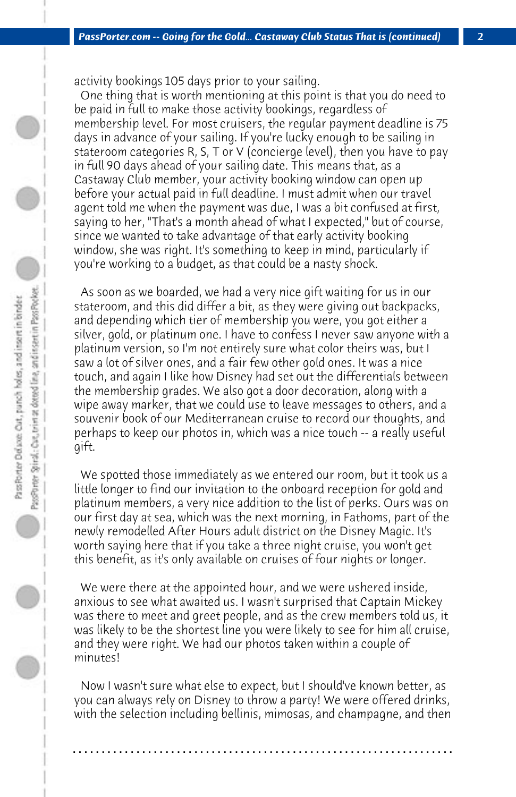activity bookings 105 days prior to your sailing.

 One thing that is worth mentioning at this point is that you do need to be paid in full to make those activity bookings, regardless of membership level. For most cruisers, the regular payment deadline is 75 days in advance of your sailing. If you're lucky enough to be sailing in stateroom categories R, S, T or V (concierge level), then you have to pay in full 90 days ahead of your sailing date. This means that, as a Castaway Club member, your activity booking window can open up before your actual paid in full deadline. I must admit when our travel agent told me when the payment was due, I was a bit confused at first, saying to her, "That's a month ahead of what I expected," but of course, since we wanted to take advantage of that early activity booking window, she was right. It's something to keep in mind, particularly if you're working to a budget, as that could be a nasty shock.

 As soon as we boarded, we had a very nice gift waiting for us in our stateroom, and this did differ a bit, as they were giving out backpacks, and depending which tier of membership you were, you got either a silver, gold, or platinum one. I have to confess I never saw anyone with a platinum version, so I'm not entirely sure what color theirs was, but I saw a lot of silver ones, and a fair few other gold ones. It was a nice touch, and again I like how Disney had set out the differentials between the membership grades. We also got a door decoration, along with a wipe away marker, that we could use to leave messages to others, and a souvenir book of our Mediterranean cruise to record our thoughts, and perhaps to keep our photos in, which was a nice touch -- a really useful gift.

 We spotted those immediately as we entered our room, but it took us a little longer to find our invitation to the onboard reception for gold and platinum members, a very nice addition to the list of perks. Ours was on our first day at sea, which was the next morning, in Fathoms, part of the newly remodelled After Hours adult district on the Disney Magic. It's worth saying here that if you take a three night cruise, you won't get this benefit, as it's only available on cruises of four nights or longer.

 We were there at the appointed hour, and we were ushered inside, anxious to see what awaited us. I wasn't surprised that Captain Mickey was there to meet and greet people, and as the crew members told us, it was likely to be the shortest line you were likely to see for him all cruise, and they were right. We had our photos taken within a couple of minutes!

 Now I wasn't sure what else to expect, but I should've known better, as you can always rely on Disney to throw a party! We were offered drinks, with the selection including bellinis, mimosas, and champagne, and then

**. . . . . . . . . . . . . . . . . . . . . . . . . . . . . . . . . . . . . . . . . . . . . . . . . . . . . . . . . . . . . . . . . .**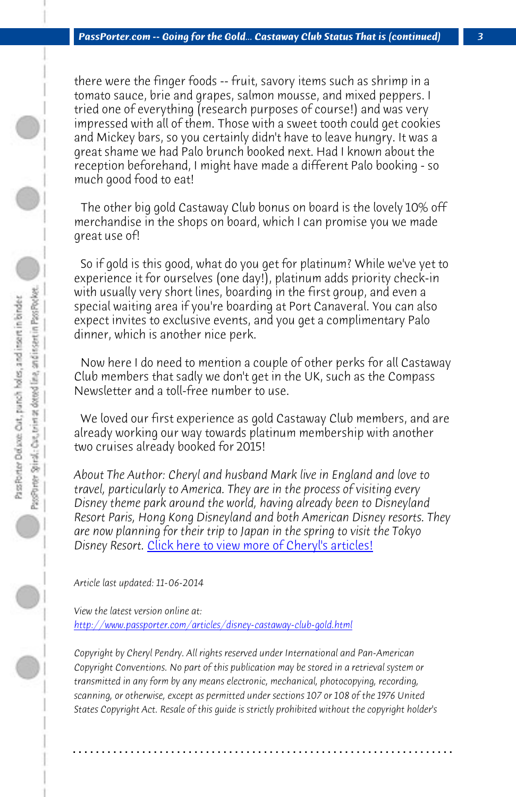*PassPorter.com -- Going for the Gold... Castaway Club Status That is (continued) 3*

there were the finger foods -- fruit, savory items such as shrimp in a tomato sauce, brie and grapes, salmon mousse, and mixed peppers. I tried one of everything (research purposes of course!) and was very impressed with all of them. Those with a sweet tooth could get cookies and Mickey bars, so you certainly didn't have to leave hungry. It was a great shame we had Palo brunch booked next. Had I known about the reception beforehand, I might have made a different Palo booking - so much good food to eat!

 The other big gold Castaway Club bonus on board is the lovely 10% off merchandise in the shops on board, which I can promise you we made great use of!

 So if gold is this good, what do you get for platinum? While we've yet to experience it for ourselves (one day!), platinum adds priority check-in with usually very short lines, boarding in the first group, and even a special waitin[g area if you're boarding at Port Canaveral. Y](http://www.passporter.com/articles/cheryl-pendry-featured-columnist.asp)ou can also expect invites to exclusive events, and you get a complimentary Palo dinner, which is another nice perk.

 Now here I do need to mention a couple of other perks for all Castaway Club members that sadly we don't get in the UK, such as the Compass [Newsletter and a toll-free number to use.](http://www.passporter.com/articles/disney-castaway-club-gold.php)

 We loved our first experience as gold Castaway Club members, and are already working our way towards platinum membership with another two cruises already booked for 2015!

*About The Author: Cheryl and husband Mark live in England and love to travel, particularly to America. They are in the process of visiting every Disney theme park around the world, having already been to Disneyland Resort Paris, Hong Kong Disneyland and both American Disney resorts. They are now planning for their trip to Japan in the spring to visit the Tokyo Disney Resort.* Click here to view more of Cheryl's articles!

*Article last updated: 11-06-2014*

*View the latest version online at: http://www.passporter.com/articles/disney-castaway-club-gold.html*

*Copyright by Cheryl Pendry. All rights reserved under International and Pan-American Copyright Conventions. No part of this publication may be stored in a retrieval system or transmitted in any form by any means electronic, mechanical, photocopying, recording, scanning, or otherwise, except as permitted under sections 107 or 108 of the 1976 United States Copyright Act. Resale of this guide is strictly prohibited without the copyright holder's*

**. . . . . . . . . . . . . . . . . . . . . . . . . . . . . . . . . . . . . . . . . . . . . . . . . . . . . . . . . . . . . . . . . .**

 $\bigcirc$